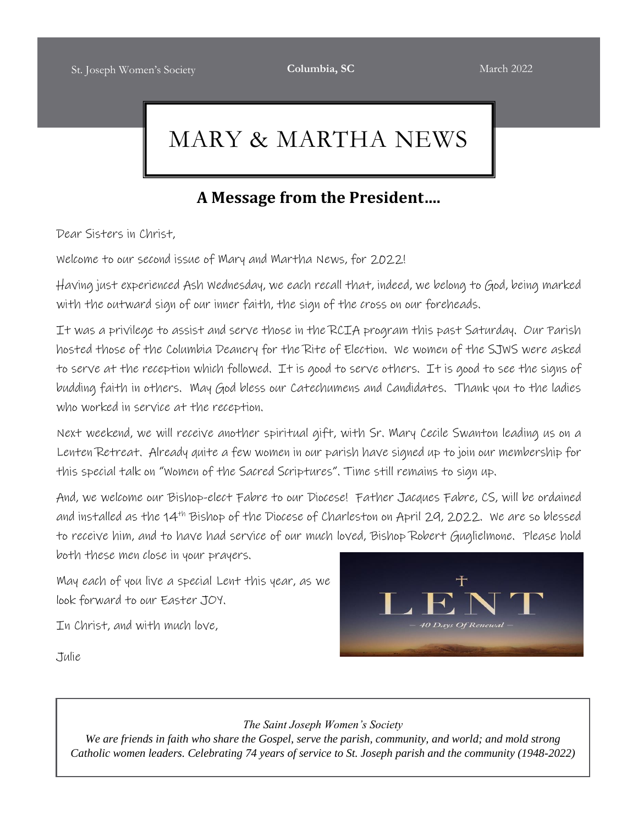# MARY & MARTHA NEWS

### **A Message from the President….**

Dear Sisters in Christ,

Welcome to our second issue of Mary and Martha News, for 2022!

Having just experienced Ash Wednesday, we each recall that, indeed, we belong to God, being marked with the outward sign of our inner faith, the sign of the cross on our foreheads.

It was a privilege to assist and serve those in the RCIA program this past Saturday. Our Parish hosted those of the Columbia Deanery for the Rite of Election. We women of the SJWS were asked to serve at the reception which followed. It is good to serve others. It is good to see the signs of budding faith in others. May God bless our Catechumens and Candidates. Thank you to the ladies who worked in service at the reception.

Next weekend, we will receive another spiritual gift, with Sr. Mary Cecile Swanton leading us on a Lenten Retreat. Already quite a few women in our parish have signed up to join our membership for this special talk on "Women of the Sacred Scriptures". Time still remains to sign up.

And, we welcome our Bishop-elect Fabre to our Diocese! Father Jacques Fabre, CS, will be ordained and installed as the 14th Bishop of the Diocese of Charleston on April 29, 2022. We are so blessed to receive him, and to have had service of our much loved, Bishop Robert Guglielmone. Please hold

both these men close in your prayers.

May each of you live a special Lent this year, as we look forward to our Easter JOY.

In Christ, and with much love,

Julie



#### *The Saint Joseph Women's Society*

*We are friends in faith who share the Gospel, serve the parish, community, and world; and mold strong Catholic women leaders. Celebrating 74 years of service to St. Joseph parish and the community (1948-2022)*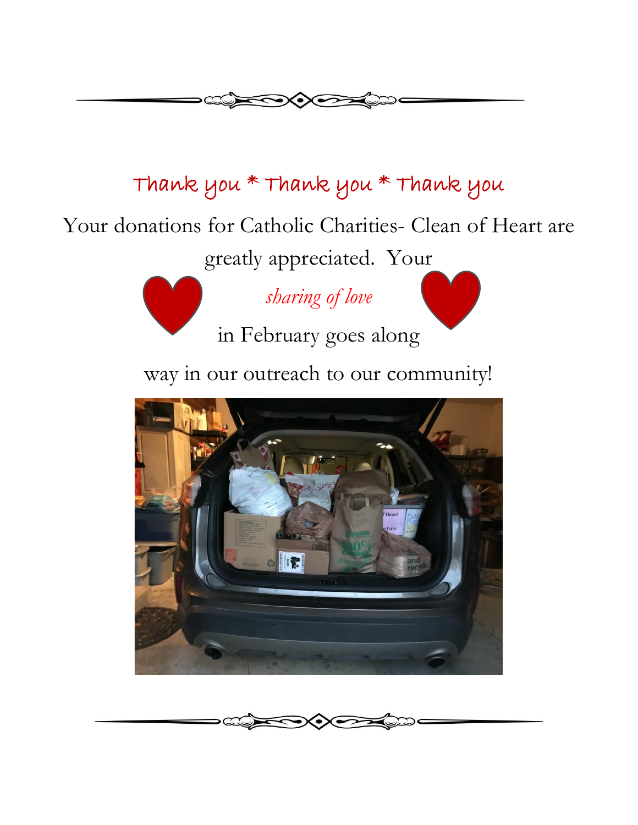

# Thank you \* Thank you \* Thank you

Your donations for Catholic Charities- Clean of Heart are

greatly appreciated. Your

*sharing of love*

in February goes along

way in our outreach to our community!



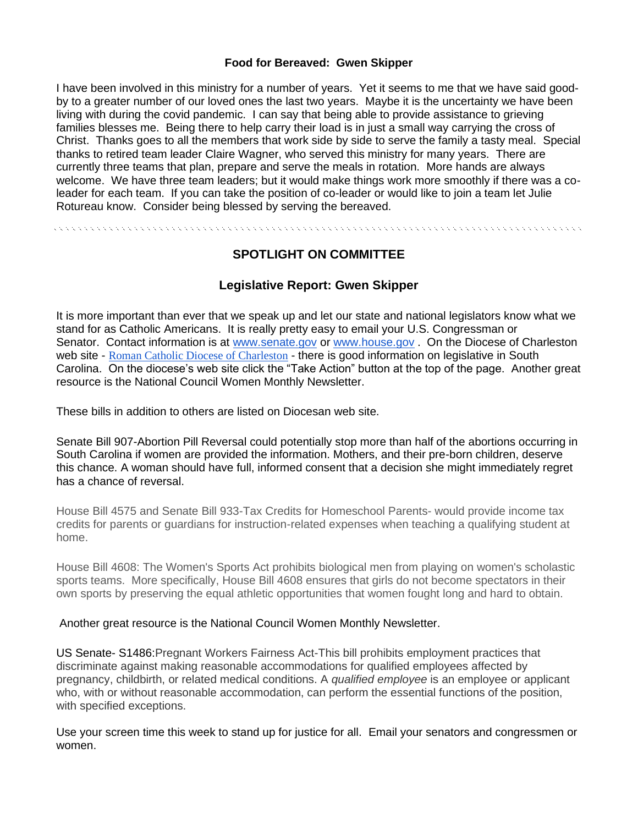#### **Food for Bereaved: Gwen Skipper**

I have been involved in this ministry for a number of years. Yet it seems to me that we have said goodby to a greater number of our loved ones the last two years. Maybe it is the uncertainty we have been living with during the covid pandemic. I can say that being able to provide assistance to grieving families blesses me. Being there to help carry their load is in just a small way carrying the cross of Christ. Thanks goes to all the members that work side by side to serve the family a tasty meal. Special thanks to retired team leader Claire Wagner, who served this ministry for many years. There are currently three teams that plan, prepare and serve the meals in rotation. More hands are always welcome. We have three team leaders; but it would make things work more smoothly if there was a coleader for each team. If you can take the position of co-leader or would like to join a team let Julie Rotureau know. Consider being blessed by serving the bereaved.

### **SPOTLIGHT ON COMMITTEE**

### **Legislative Report: Gwen Skipper**

It is more important than ever that we speak up and let our state and national legislators know what we stand for as Catholic Americans. It is really pretty easy to email your U.S. Congressman or Senator. Contact information is at [www.senate.gov](http://www.senate.gov/) or [www.house.gov](http://www.house.gov/). On the Diocese of Charleston web site - [Roman Catholic Diocese of Charleston](https://charlestondiocese.org/) - there is good information on legislative in South Carolina. On the diocese's web site click the "Take Action" button at the top of the page. Another great resource is the National Council Women Monthly Newsletter.

These bills in addition to others are listed on Diocesan web site.

Senate Bill 907-Abortion Pill Reversal could potentially stop more than half of the abortions occurring in South Carolina if women are provided the information. Mothers, and their pre-born children, deserve this chance. A woman should have full, informed consent that a decision she might immediately regret has a chance of reversal.

House Bill 4575 and Senate Bill 933-Tax Credits for Homeschool Parents- would provide income tax credits for parents or guardians for instruction-related expenses when teaching a qualifying student at home.

House Bill 4608: The Women's Sports Act prohibits biological men from playing on women's scholastic sports teams. More specifically, House Bill 4608 ensures that girls do not become spectators in their own sports by preserving the equal athletic opportunities that women fought long and hard to obtain.

#### Another great resource is the National Council Women Monthly Newsletter.

US Senate- S1486:Pregnant Workers Fairness Act-This bill prohibits employment practices that discriminate against making reasonable accommodations for qualified employees affected by pregnancy, childbirth, or related medical conditions. A *qualified employee* is an employee or applicant who, with or without reasonable accommodation, can perform the essential functions of the position, with specified exceptions.

Use your screen time this week to stand up for justice for all. Email your senators and congressmen or women.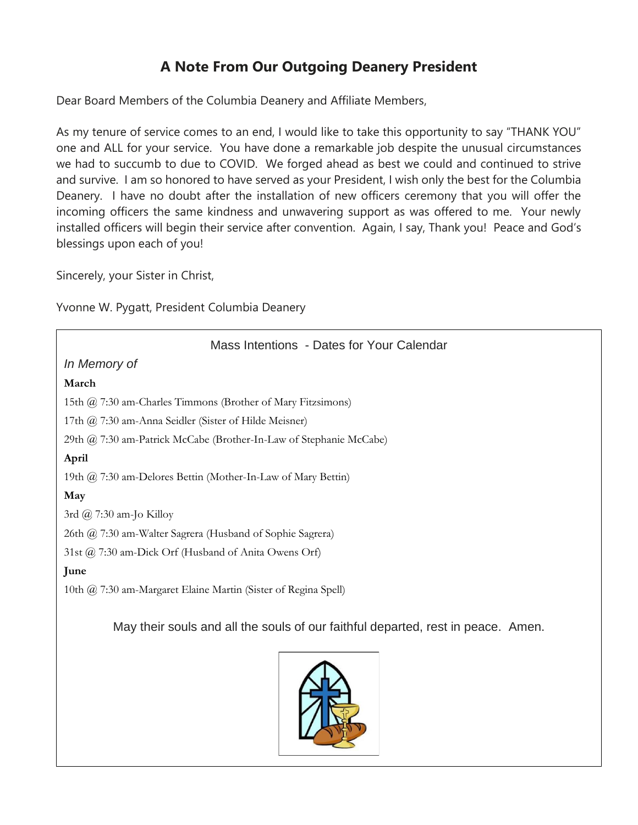### **A Note From Our Outgoing Deanery President**

Dear Board Members of the Columbia Deanery and Affiliate Members,

As my tenure of service comes to an end, I would like to take this opportunity to say "THANK YOU" one and ALL for your service. You have done a remarkable job despite the unusual circumstances we had to succumb to due to COVID. We forged ahead as best we could and continued to strive and survive. I am so honored to have served as your President, I wish only the best for the Columbia Deanery. I have no doubt after the installation of new officers ceremony that you will offer the incoming officers the same kindness and unwavering support as was offered to me. Your newly installed officers will begin their service after convention. Again, I say, Thank you! Peace and God's blessings upon each of you!

Sincerely, your Sister in Christ,

Yvonne W. Pygatt, President Columbia Deanery

| Mass Intentions - Dates for Your Calendar                                        |  |  |  |  |
|----------------------------------------------------------------------------------|--|--|--|--|
| In Memory of                                                                     |  |  |  |  |
| March                                                                            |  |  |  |  |
| 15th @ 7:30 am-Charles Timmons (Brother of Mary Fitzsimons)                      |  |  |  |  |
| 17th @ 7:30 am-Anna Seidler (Sister of Hilde Meisner)                            |  |  |  |  |
| 29th @ 7:30 am-Patrick McCabe (Brother-In-Law of Stephanie McCabe)               |  |  |  |  |
| April                                                                            |  |  |  |  |
| 19th @ 7:30 am-Delores Bettin (Mother-In-Law of Mary Bettin)                     |  |  |  |  |
| May                                                                              |  |  |  |  |
| 3rd $\omega$ 7:30 am-Jo Killoy                                                   |  |  |  |  |
| 26th @ 7:30 am-Walter Sagrera (Husband of Sophie Sagrera)                        |  |  |  |  |
| 31st @ 7:30 am-Dick Orf (Husband of Anita Owens Orf)                             |  |  |  |  |
| June                                                                             |  |  |  |  |
| 10th @ 7:30 am-Margaret Elaine Martin (Sister of Regina Spell)                   |  |  |  |  |
| May their souls and all the souls of our faithful departed, rest in peace. Amen. |  |  |  |  |

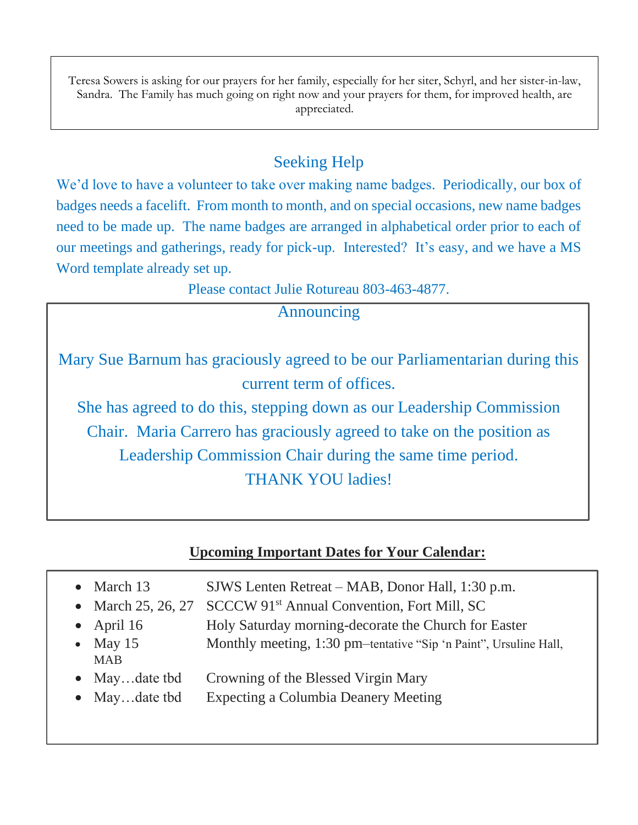Teresa Sowers is asking for our prayers for her family, especially for her siter, Schyrl, and her sister-in-law, Sandra. The Family has much going on right now and your prayers for them, for improved health, are appreciated.

## Seeking Help

We'd love to have a volunteer to take over making name badges. Periodically, our box of badges needs a facelift. From month to month, and on special occasions, new name badges need to be made up. The name badges are arranged in alphabetical order prior to each of our meetings and gatherings, ready for pick-up. Interested? It's easy, and we have a MS Word template already set up.

Please contact Julie Rotureau 803-463-4877.

### Announcing

Mary Sue Barnum has graciously agreed to be our Parliamentarian during this current term of offices.

She has agreed to do this, stepping down as our Leadership Commission Chair. Maria Carrero has graciously agreed to take on the position as Leadership Commission Chair during the same time period. THANK YOU ladies!

| <b>Upcoming Important Dates for Your Calendar:</b> |                                                                            |  |  |  |
|----------------------------------------------------|----------------------------------------------------------------------------|--|--|--|
| $\bullet$ March 13                                 | SJWS Lenten Retreat – MAB, Donor Hall, 1:30 p.m.                           |  |  |  |
|                                                    | • March 25, 26, 27 SCCCW 91 <sup>st</sup> Annual Convention, Fort Mill, SC |  |  |  |
| • April $16$                                       | Holy Saturday morning-decorate the Church for Easter                       |  |  |  |
| • May $15$                                         | Monthly meeting, 1:30 pm-tentative "Sip 'n Paint", Ursuline Hall,          |  |  |  |
| <b>MAB</b>                                         |                                                                            |  |  |  |
| $\bullet$ Maydate tbd                              | Crowning of the Blessed Virgin Mary                                        |  |  |  |
|                                                    |                                                                            |  |  |  |

May...date tbd Expecting a Columbia Deanery Meeting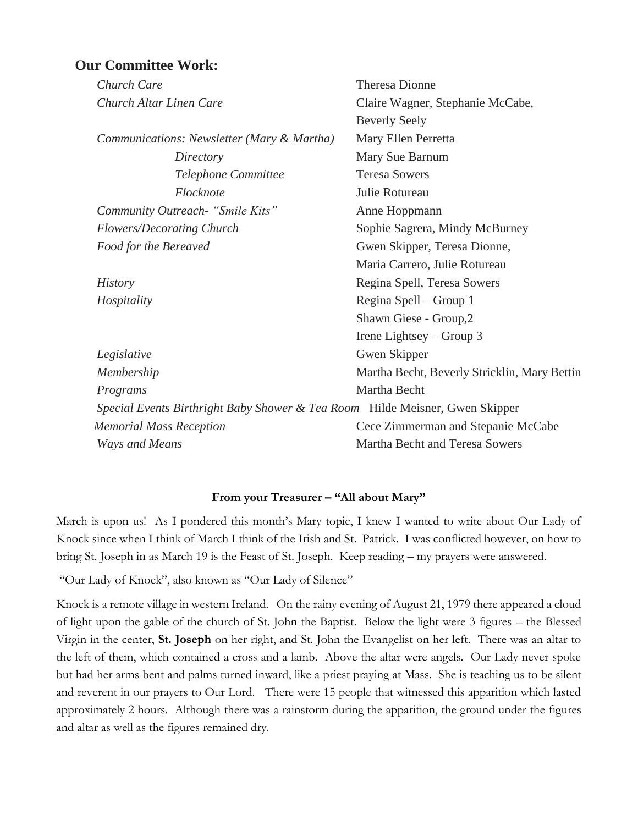### **Our Committee Work:**

| Church Care                                                                  | <b>Theresa Dionne</b>                        |
|------------------------------------------------------------------------------|----------------------------------------------|
| Church Altar Linen Care                                                      | Claire Wagner, Stephanie McCabe,             |
|                                                                              | <b>Beverly Seely</b>                         |
| Communications: Newsletter (Mary & Martha)                                   | Mary Ellen Perretta                          |
| Directory                                                                    | Mary Sue Barnum                              |
| Telephone Committee                                                          | <b>Teresa Sowers</b>                         |
| Flocknote                                                                    | Julie Rotureau                               |
| Community Outreach- "Smile Kits"                                             | Anne Hoppmann                                |
| Flowers/Decorating Church                                                    | Sophie Sagrera, Mindy McBurney               |
| Food for the Bereaved                                                        | Gwen Skipper, Teresa Dionne,                 |
|                                                                              | Maria Carrero, Julie Rotureau                |
| <i>History</i>                                                               | Regina Spell, Teresa Sowers                  |
| Hospitality                                                                  | Regina Spell – Group 1                       |
|                                                                              | Shawn Giese - Group, 2                       |
|                                                                              | Irene Lightsey $-$ Group 3                   |
| Legislative                                                                  | Gwen Skipper                                 |
| Membership                                                                   | Martha Becht, Beverly Stricklin, Mary Bettin |
| Programs                                                                     | Martha Becht                                 |
| Special Events Birthright Baby Shower & Tea Room Hilde Meisner, Gwen Skipper |                                              |
| <b>Memorial Mass Reception</b>                                               | Cece Zimmerman and Stepanie McCabe           |
| <b>Ways and Means</b>                                                        | Martha Becht and Teresa Sowers               |
|                                                                              |                                              |

#### **From your Treasurer – "All about Mary"**

March is upon us! As I pondered this month's Mary topic, I knew I wanted to write about Our Lady of Knock since when I think of March I think of the Irish and St. Patrick. I was conflicted however, on how to bring St. Joseph in as March 19 is the Feast of St. Joseph. Keep reading – my prayers were answered.

"Our Lady of Knock", also known as "Our Lady of Silence"

Knock is a remote village in western Ireland. On the rainy evening of August 21, 1979 there appeared a cloud of light upon the gable of the church of St. John the Baptist. Below the light were 3 figures – the Blessed Virgin in the center, **St. Joseph** on her right, and St. John the Evangelist on her left. There was an altar to the left of them, which contained a cross and a lamb. Above the altar were angels. Our Lady never spoke but had her arms bent and palms turned inward, like a priest praying at Mass. She is teaching us to be silent and reverent in our prayers to Our Lord. There were 15 people that witnessed this apparition which lasted approximately 2 hours. Although there was a rainstorm during the apparition, the ground under the figures and altar as well as the figures remained dry.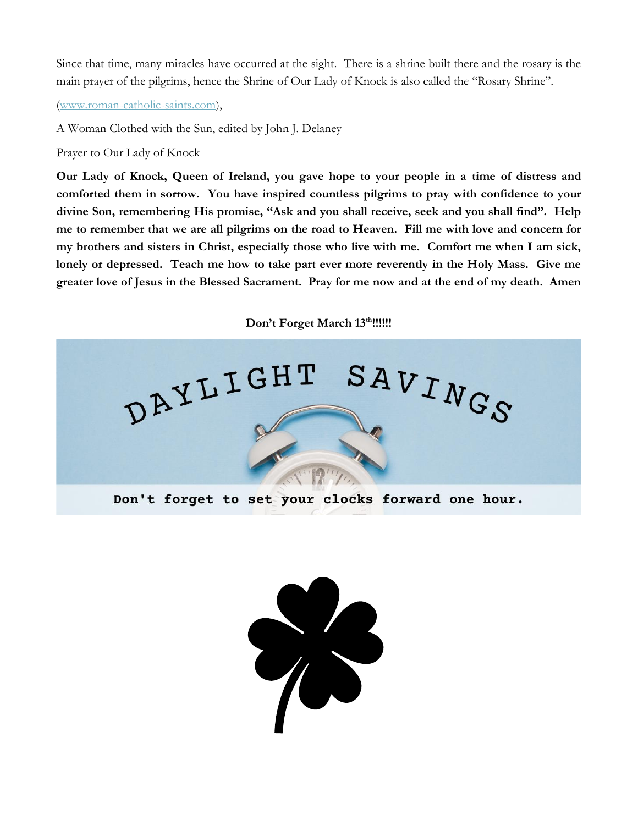Since that time, many miracles have occurred at the sight. There is a shrine built there and the rosary is the main prayer of the pilgrims, hence the Shrine of Our Lady of Knock is also called the "Rosary Shrine".

[\(www.roman-catholic-saints.com\)](http://www.roman-catholic-saints.com/),

A Woman Clothed with the Sun, edited by John J. Delaney

Prayer to Our Lady of Knock

**Our Lady of Knock, Queen of Ireland, you gave hope to your people in a time of distress and comforted them in sorrow. You have inspired countless pilgrims to pray with confidence to your divine Son, remembering His promise, "Ask and you shall receive, seek and you shall find". Help me to remember that we are all pilgrims on the road to Heaven. Fill me with love and concern for my brothers and sisters in Christ, especially those who live with me. Comfort me when I am sick, lonely or depressed. Teach me how to take part ever more reverently in the Holy Mass. Give me greater love of Jesus in the Blessed Sacrament. Pray for me now and at the end of my death. Amen**

**Don't Forget March 13th!!!!!!**



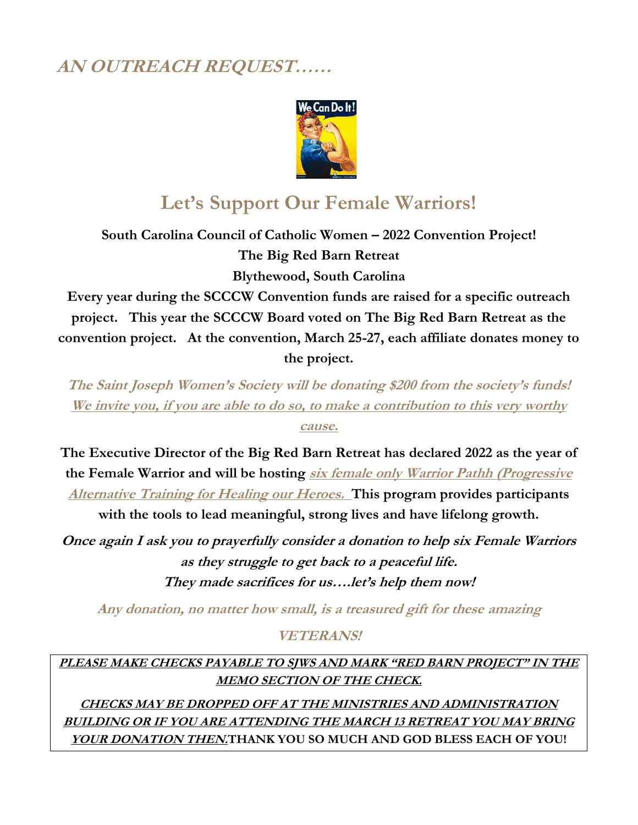# **AN OUTREACH REQUEST……**



# **Let's Support Our Female Warriors!**

**South Carolina Council of Catholic Women – 2022 Convention Project! The Big Red Barn Retreat Blythewood, South Carolina**

**Every year during the SCCCW Convention funds are raised for a specific outreach project. This year the SCCCW Board voted on The Big Red Barn Retreat as the convention project. At the convention, March 25-27, each affiliate donates money to the project.**

**The Saint Joseph Women's Society will be donating \$200 from the society's funds! We invite you, if you are able to do so, to make a contribution to this very worthy cause.**

**The Executive Director of the Big Red Barn Retreat has declared 2022 as the year of the Female Warrior and will be hosting six female only Warrior Pathh (Progressive Alternative Training for Healing our Heroes. This program provides participants** 

**with the tools to lead meaningful, strong lives and have lifelong growth.**

**Once again I ask you to prayerfully consider a donation to help six Female Warriors as they struggle to get back to a peaceful life. They made sacrifices for us….let's help them now!**

**Any donation, no matter how small, is a treasured gift for these amazing**

### **VETERANS!**

**PLEASE MAKE CHECKS PAYABLE TO SJWS AND MARK "RED BARN PROJECT" IN THE MEMO SECTION OF THE CHECK.**

**CHECKS MAY BE DROPPED OFF AT THE MINISTRIES AND ADMINISTRATION BUILDING OR IF YOU ARE ATTENDING THE MARCH 13 RETREAT YOU MAY BRING YOUR DONATION THEN.THANK YOU SO MUCH AND GOD BLESS EACH OF YOU!**